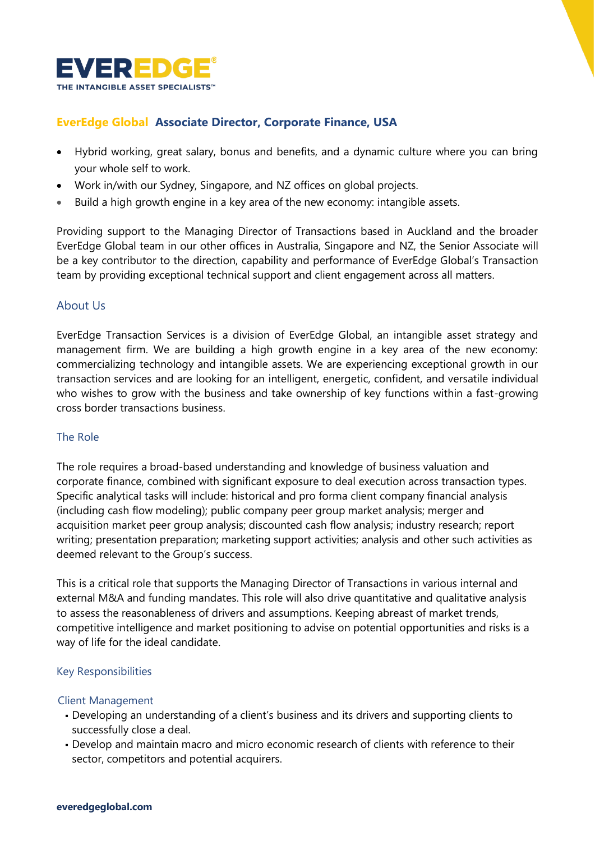

# **EverEdge Global Associate Director, Corporate Finance, USA**

- Hybrid working, great salary, bonus and benefits, and a dynamic culture where you can bring your whole self to work.
- Work in/with our Sydney, Singapore, and NZ offices on global projects.
- Build a high growth engine in a key area of the new economy: intangible assets.

Providing support to the Managing Director of Transactions based in Auckland and the broader EverEdge Global team in our other offices in Australia, Singapore and NZ, the Senior Associate will be a key contributor to the direction, capability and performance of EverEdge Global's Transaction team by providing exceptional technical support and client engagement across all matters.

# About Us

EverEdge Transaction Services is a division of EverEdge Global, an intangible asset strategy and management firm. We are building a high growth engine in a key area of the new economy: commercializing technology and intangible assets. We are experiencing exceptional growth in our transaction services and are looking for an intelligent, energetic, confident, and versatile individual who wishes to grow with the business and take ownership of key functions within a fast-growing cross border transactions business.

### The Role

The role requires a broad-based understanding and knowledge of business valuation and corporate finance, combined with significant exposure to deal execution across transaction types. Specific analytical tasks will include: historical and pro forma client company financial analysis (including cash flow modeling); public company peer group market analysis; merger and acquisition market peer group analysis; discounted cash flow analysis; industry research; report writing; presentation preparation; marketing support activities; analysis and other such activities as deemed relevant to the Group's success.

This is a critical role that supports the Managing Director of Transactions in various internal and external M&A and funding mandates. This role will also drive quantitative and qualitative analysis to assess the reasonableness of drivers and assumptions. Keeping abreast of market trends, competitive intelligence and market positioning to advise on potential opportunities and risks is a way of life for the ideal candidate.

#### Key Responsibilities

#### Client Management

- Developing an understanding of a client's business and its drivers and supporting clients to successfully close a deal.
- Develop and maintain macro and micro economic research of clients with reference to their sector, competitors and potential acquirers.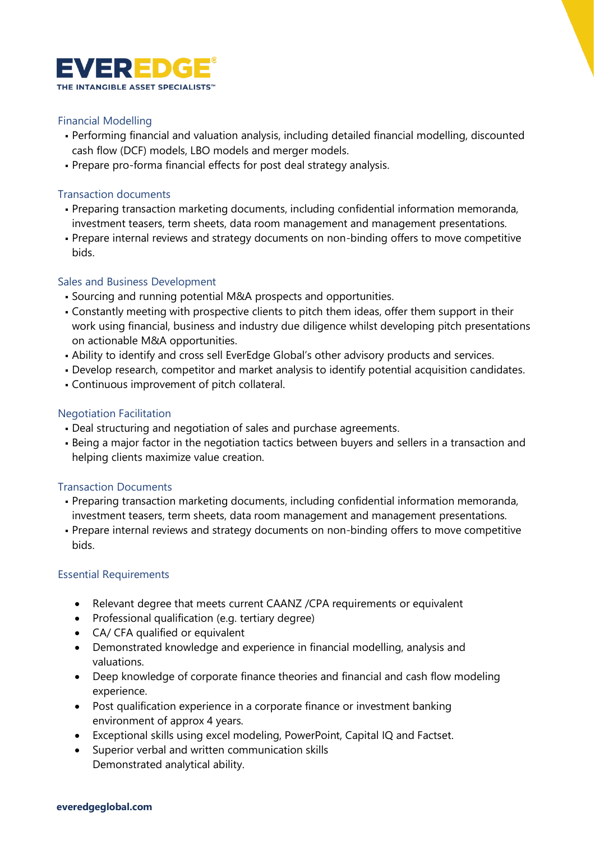

### Financial Modelling

- Performing financial and valuation analysis, including detailed financial modelling, discounted cash flow (DCF) models, LBO models and merger models.
- Prepare pro-forma financial effects for post deal strategy analysis.

### Transaction documents

- Preparing transaction marketing documents, including confidential information memoranda, investment teasers, term sheets, data room management and management presentations.
- Prepare internal reviews and strategy documents on non-binding offers to move competitive bids.

# Sales and Business Development

- Sourcing and running potential M&A prospects and opportunities.
- Constantly meeting with prospective clients to pitch them ideas, offer them support in their work using financial, business and industry due diligence whilst developing pitch presentations on actionable M&A opportunities.
- . Ability to identify and cross sell EverEdge Global's other advisory products and services.
- Develop research, competitor and market analysis to identify potential acquisition candidates.
- Continuous improvement of pitch collateral.

# Negotiation Facilitation

- Deal structuring and negotiation of sales and purchase agreements.
- Being a major factor in the negotiation tactics between buyers and sellers in a transaction and helping clients maximize value creation.

### Transaction Documents

- Preparing transaction marketing documents, including confidential information memoranda, investment teasers, term sheets, data room management and management presentations.
- Prepare internal reviews and strategy documents on non-binding offers to move competitive bids.

### Essential Requirements

- Relevant degree that meets current CAANZ /CPA requirements or equivalent
- Professional qualification (e.g. tertiary degree)
- CA/ CFA qualified or equivalent
- Demonstrated knowledge and experience in financial modelling, analysis and valuations.
- Deep knowledge of corporate finance theories and financial and cash flow modeling experience.
- Post qualification experience in a corporate finance or investment banking environment of approx 4 years.
- Exceptional skills using excel modeling, PowerPoint, Capital IQ and Factset.
- Superior verbal and written communication skills Demonstrated analytical ability.